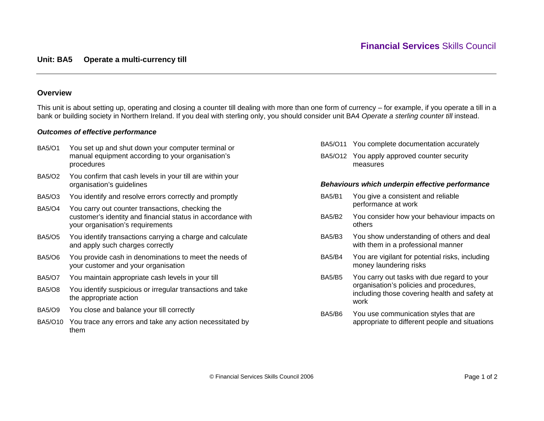# **Overview**

This unit is about setting up, operating and closing a counter till dealing with more than one form of currency – for example, if you operate a till in a bank or building society in Northern Ireland. If you deal with sterling only, you should consider unit BA4 *Operate a sterling counter till* instead.

# *Outcomes of effective performance*

BA5/O1 You set up and shut down your computer terminal or manual equipment according to your organisation's procedures BA5/O2 You confirm that cash levels in your till are within your organisation's guidelines BA5/O3 You identify and resolve errors correctly and promptly BA5/O4 You carry out counter transactions, checking the customer's identity and financial status in accordance with your organisation's requirements BA5/O5 You identify transactions carrying a charge and calculate and apply such charges correctly BA5/O6 You provide cash in denominations to meet the needs of your customer and your organisation BA5/O7 You maintain appropriate cash levels in your till BA5/O8 You identify suspicious or irregular transactions and take the appropriate action BA5/O9 You close and balance your till correctly BA5/O10 You trace any errors and take any action necessitated by them

- BA5/O11 You complete documentation accurately
- BA5/O12 You apply approved counter security measures

### *Behaviours which underpin effective performance*

- BA5/B1 You give a consistent and reliable performance at work
- BA5/B2 You consider how your behaviour impacts on others
- BA5/B3 You show understanding of others and deal with them in a professional manner
- BA5/B4 You are vigilant for potential risks, including money laundering risks
- BA5/B5 You carry out tasks with due regard to your organisation's policies and procedures, including those covering health and safety at work
- BA5/B6 You use communication styles that are appropriate to different people and situations